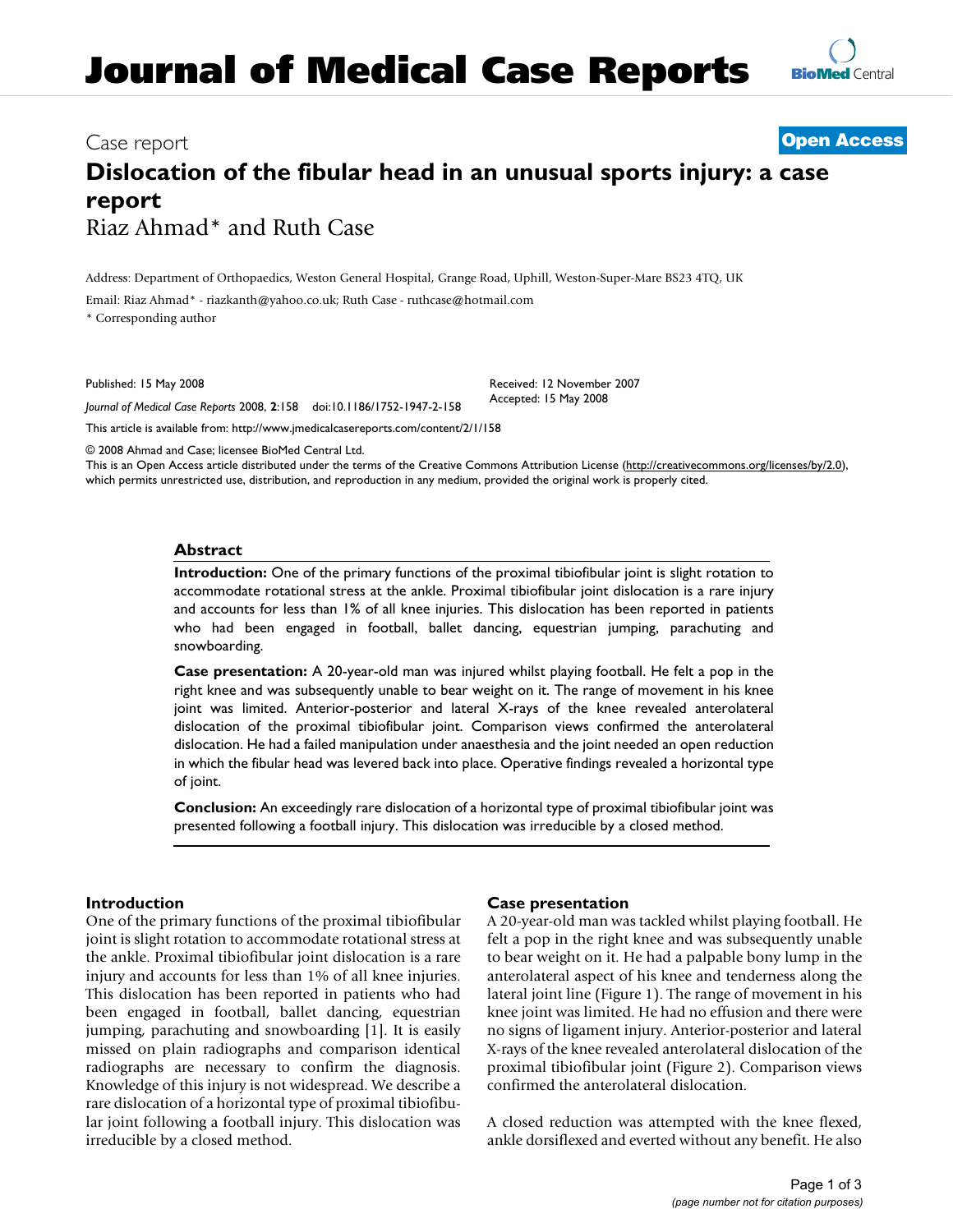# Case report **[Open Access](http://www.biomedcentral.com/info/about/charter/)**

# **Dislocation of the fibular head in an unusual sports injury: a case report** Riaz Ahmad\* and Ruth Case

Address: Department of Orthopaedics, Weston General Hospital, Grange Road, Uphill, Weston-Super-Mare BS23 4TQ, UK

Email: Riaz Ahmad\* - riazkanth@yahoo.co.uk; Ruth Case - ruthcase@hotmail.com

\* Corresponding author

Published: 15 May 2008

*Journal of Medical Case Reports* 2008, **2**:158 doi:10.1186/1752-1947-2-158 Received: 12 November 2007 Accepted: 15 May 2008

[This article is available from: http://www.jmedicalcasereports.com/content/2/1/158](http://www.jmedicalcasereports.com/content/2/1/158)

© 2008 Ahmad and Case; licensee BioMed Central Ltd.

This is an Open Access article distributed under the terms of the Creative Commons Attribution License [\(http://creativecommons.org/licenses/by/2.0\)](http://creativecommons.org/licenses/by/2.0), which permits unrestricted use, distribution, and reproduction in any medium, provided the original work is properly cited.

#### **Abstract**

**Introduction:** One of the primary functions of the proximal tibiofibular joint is slight rotation to accommodate rotational stress at the ankle. Proximal tibiofibular joint dislocation is a rare injury and accounts for less than 1% of all knee injuries. This dislocation has been reported in patients who had been engaged in football, ballet dancing, equestrian jumping, parachuting and snowboarding.

**Case presentation:** A 20-year-old man was injured whilst playing football. He felt a pop in the right knee and was subsequently unable to bear weight on it. The range of movement in his knee joint was limited. Anterior-posterior and lateral X-rays of the knee revealed anterolateral dislocation of the proximal tibiofibular joint. Comparison views confirmed the anterolateral dislocation. He had a failed manipulation under anaesthesia and the joint needed an open reduction in which the fibular head was levered back into place. Operative findings revealed a horizontal type of joint.

**Conclusion:** An exceedingly rare dislocation of a horizontal type of proximal tibiofibular joint was presented following a football injury. This dislocation was irreducible by a closed method.

### **Introduction**

One of the primary functions of the proximal tibiofibular joint is slight rotation to accommodate rotational stress at the ankle. Proximal tibiofibular joint dislocation is a rare injury and accounts for less than 1% of all knee injuries. This dislocation has been reported in patients who had been engaged in football, ballet dancing, equestrian jumping, parachuting and snowboarding [1]. It is easily missed on plain radiographs and comparison identical radiographs are necessary to confirm the diagnosis. Knowledge of this injury is not widespread. We describe a rare dislocation of a horizontal type of proximal tibiofibular joint following a football injury. This dislocation was irreducible by a closed method.

#### **Case presentation**

A 20-year-old man was tackled whilst playing football. He felt a pop in the right knee and was subsequently unable to bear weight on it. He had a palpable bony lump in the anterolateral aspect of his knee and tenderness along the lateral joint line (Figure 1). The range of movement in his knee joint was limited. He had no effusion and there were no signs of ligament injury. Anterior-posterior and lateral X-rays of the knee revealed anterolateral dislocation of the proximal tibiofibular joint (Figure 2). Comparison views confirmed the anterolateral dislocation.

A closed reduction was attempted with the knee flexed, ankle dorsiflexed and everted without any benefit. He also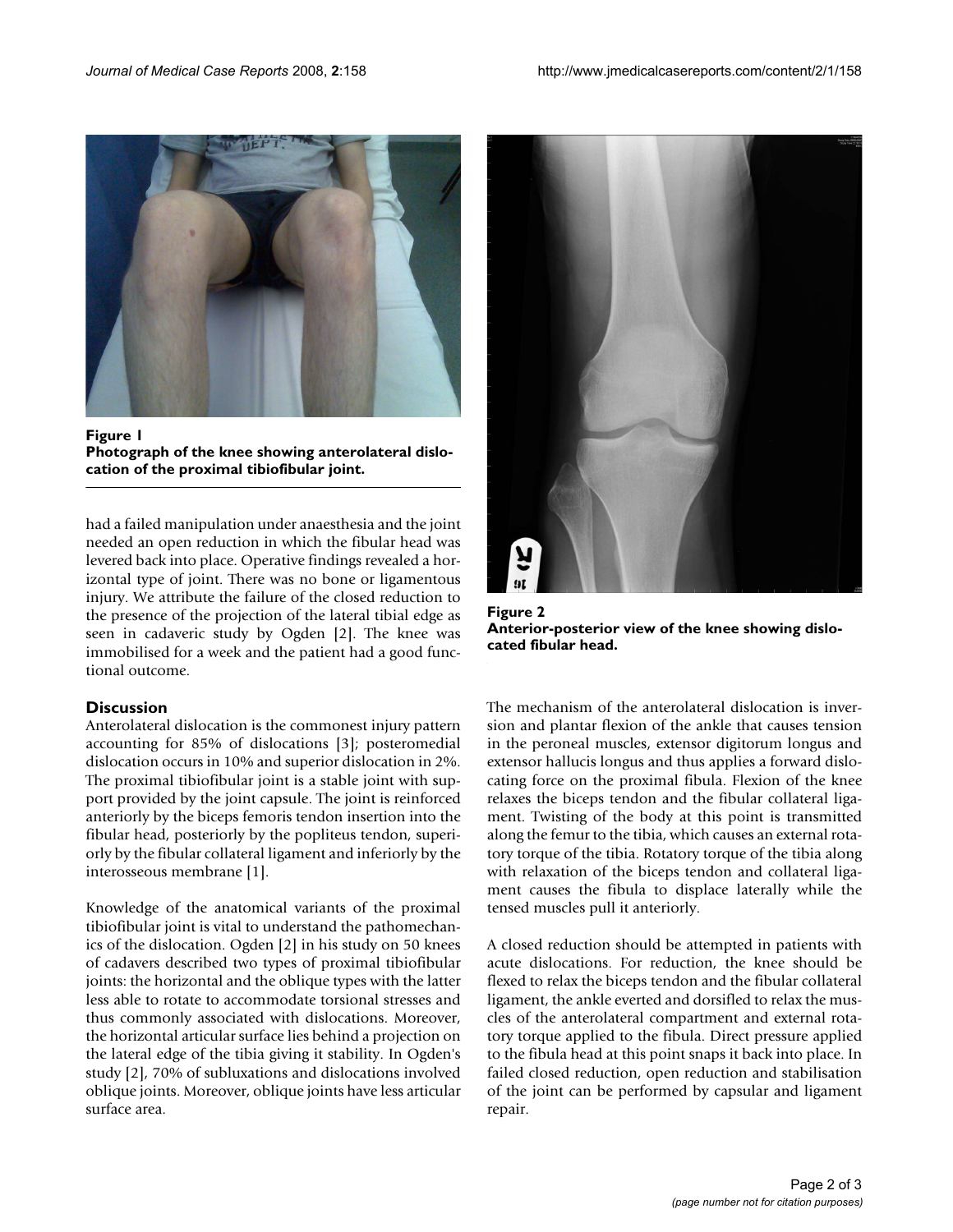

**Figure 1 Photograph of the knee showing anterolateral dislocation of the proximal tibiofibular joint.**

had a failed manipulation under anaesthesia and the joint needed an open reduction in which the fibular head was levered back into place. Operative findings revealed a horizontal type of joint. There was no bone or ligamentous injury. We attribute the failure of the closed reduction to the presence of the projection of the lateral tibial edge as seen in cadaveric study by Ogden [2]. The knee was immobilised for a week and the patient had a good functional outcome.

#### **Discussion**

Anterolateral dislocation is the commonest injury pattern accounting for 85% of dislocations [3]; posteromedial dislocation occurs in 10% and superior dislocation in 2%. The proximal tibiofibular joint is a stable joint with support provided by the joint capsule. The joint is reinforced anteriorly by the biceps femoris tendon insertion into the fibular head, posteriorly by the popliteus tendon, superiorly by the fibular collateral ligament and inferiorly by the interosseous membrane [1].

Knowledge of the anatomical variants of the proximal tibiofibular joint is vital to understand the pathomechanics of the dislocation. Ogden [2] in his study on 50 knees of cadavers described two types of proximal tibiofibular joints: the horizontal and the oblique types with the latter less able to rotate to accommodate torsional stresses and thus commonly associated with dislocations. Moreover, the horizontal articular surface lies behind a projection on the lateral edge of the tibia giving it stability. In Ogden's study [2], 70% of subluxations and dislocations involved oblique joints. Moreover, oblique joints have less articular surface area.



Figure 2 **Anterior-posterior view of the knee showing dislocated fibular head.**

The mechanism of the anterolateral dislocation is inversion and plantar flexion of the ankle that causes tension in the peroneal muscles, extensor digitorum longus and extensor hallucis longus and thus applies a forward dislocating force on the proximal fibula. Flexion of the knee relaxes the biceps tendon and the fibular collateral ligament. Twisting of the body at this point is transmitted along the femur to the tibia, which causes an external rotatory torque of the tibia. Rotatory torque of the tibia along with relaxation of the biceps tendon and collateral ligament causes the fibula to displace laterally while the tensed muscles pull it anteriorly.

A closed reduction should be attempted in patients with acute dislocations. For reduction, the knee should be flexed to relax the biceps tendon and the fibular collateral ligament, the ankle everted and dorsifled to relax the muscles of the anterolateral compartment and external rotatory torque applied to the fibula. Direct pressure applied to the fibula head at this point snaps it back into place. In failed closed reduction, open reduction and stabilisation of the joint can be performed by capsular and ligament repair.